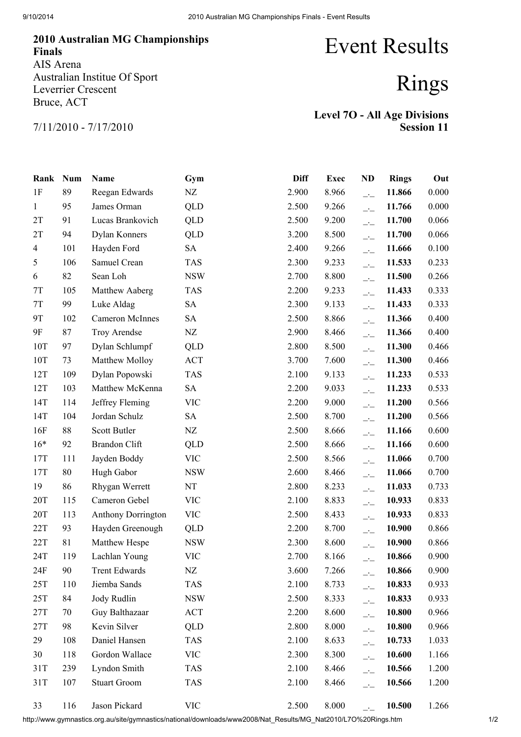## 2010 Australian MG Championships Finals AIS Arena Australian Institue Of Sport Leverrier Crescent Bruce, ACT

## Event Results

## Rings

7/11/2010 - 7/17/2010

| <b>Level 70 - All Age Divisions</b> |                   |
|-------------------------------------|-------------------|
|                                     | <b>Session 11</b> |

| Rank         | <b>Num</b> | Name                      | Gym        | <b>Diff</b> | <b>Exec</b> | ND                       | <b>Rings</b> | Out   |
|--------------|------------|---------------------------|------------|-------------|-------------|--------------------------|--------------|-------|
| 1F           | 89         | Reegan Edwards            | NZ         | 2.900       | 8.966       | $\overline{\phantom{a}}$ | 11.866       | 0.000 |
| $\mathbf{1}$ | 95         | James Orman               | QLD        | 2.500       | 9.266       | $\overline{\phantom{a}}$ | 11.766       | 0.000 |
| 2T           | 91         | Lucas Brankovich          | QLD        | 2.500       | 9.200       | $\overline{\phantom{a}}$ | 11.700       | 0.066 |
| 2T           | 94         | Dylan Konners             | QLD        | 3.200       | 8.500       | $\overline{\phantom{a}}$ | 11.700       | 0.066 |
| 4            | 101        | Hayden Ford               | <b>SA</b>  | 2.400       | 9.266       | $\overline{\phantom{a}}$ | 11.666       | 0.100 |
| 5            | 106        | Samuel Crean              | <b>TAS</b> | 2.300       | 9.233       | $\overline{\phantom{a}}$ | 11.533       | 0.233 |
| 6            | 82         | Sean Loh                  | <b>NSW</b> | 2.700       | 8.800       | $\overline{\phantom{a}}$ | 11.500       | 0.266 |
| 7T           | 105        | Matthew Aaberg            | <b>TAS</b> | 2.200       | 9.233       | $\overline{\phantom{a}}$ | 11.433       | 0.333 |
| 7T           | 99         | Luke Aldag                | <b>SA</b>  | 2.300       | 9.133       | $\overline{\phantom{a}}$ | 11.433       | 0.333 |
| 9T           | 102        | <b>Cameron McInnes</b>    | <b>SA</b>  | 2.500       | 8.866       | $\overline{\phantom{a}}$ | 11.366       | 0.400 |
| 9F           | 87         | Troy Arendse              | NZ         | 2.900       | 8.466       | $\overline{\phantom{a}}$ | 11.366       | 0.400 |
| 10T          | 97         | Dylan Schlumpf            | QLD        | 2.800       | 8.500       | $\overline{\phantom{a}}$ | 11.300       | 0.466 |
| 10T          | 73         | Matthew Molloy            | ACT        | 3.700       | 7.600       | $\overline{\phantom{a}}$ | 11.300       | 0.466 |
| 12T          | 109        | Dylan Popowski            | <b>TAS</b> | 2.100       | 9.133       | $\overline{\phantom{a}}$ | 11.233       | 0.533 |
| 12T          | 103        | Matthew McKenna           | <b>SA</b>  | 2.200       | 9.033       | $\overline{\phantom{a}}$ | 11.233       | 0.533 |
| 14T          | 114        | Jeffrey Fleming           | <b>VIC</b> | 2.200       | 9.000       | $\overline{\phantom{a}}$ | 11.200       | 0.566 |
| 14T          | 104        | Jordan Schulz             | <b>SA</b>  | 2.500       | 8.700       | $\overline{\phantom{a}}$ | 11.200       | 0.566 |
| 16F          | 88         | Scott Butler              | NZ         | 2.500       | 8.666       | $\overline{\phantom{a}}$ | 11.166       | 0.600 |
| $16*$        | 92         | <b>Brandon Clift</b>      | QLD        | 2.500       | 8.666       | $\overline{\phantom{a}}$ | 11.166       | 0.600 |
| 17T          | 111        | Jayden Boddy              | <b>VIC</b> | 2.500       | 8.566       | $\overline{\phantom{a}}$ | 11.066       | 0.700 |
| 17T          | 80         | Hugh Gabor                | <b>NSW</b> | 2.600       | 8.466       | $\overline{\phantom{a}}$ | 11.066       | 0.700 |
| 19           | 86         | Rhygan Werrett            | NT         | 2.800       | 8.233       | $\overline{\phantom{a}}$ | 11.033       | 0.733 |
| 20T          | 115        | Cameron Gebel             | <b>VIC</b> | 2.100       | 8.833       | $\overline{\phantom{a}}$ | 10.933       | 0.833 |
| 20T          | 113        | <b>Anthony Dorrington</b> | <b>VIC</b> | 2.500       | 8.433       | $\overline{\phantom{a}}$ | 10.933       | 0.833 |
| 22T          | 93         | Hayden Greenough          | QLD        | 2.200       | 8.700       | $\overline{\phantom{a}}$ | 10.900       | 0.866 |
| 22T          | 81         | Matthew Hespe             | <b>NSW</b> | 2.300       | 8.600       | $\overline{\phantom{a}}$ | 10.900       | 0.866 |
| 24T          | 119        | Lachlan Young             | <b>VIC</b> | 2.700       | 8.166       | $\overline{\phantom{a}}$ | 10.866       | 0.900 |
| 24F          | 90         | <b>Trent Edwards</b>      | NZ         | 3.600       | 7.266       | $\overline{\phantom{a}}$ | 10.866       | 0.900 |
| 25T          | 110        | Jiemba Sands              | <b>TAS</b> | 2.100       | 8.733       | $\overline{\phantom{a}}$ | 10.833       | 0.933 |
| 25T          | 84         | Jody Rudlin               | <b>NSW</b> | 2.500       | 8.333       | $\overline{\phantom{a}}$ | 10.833       | 0.933 |
| 27T          | 70         | Guy Balthazaar            | ACT        | 2.200       | 8.600       | $\overline{\phantom{a}}$ | 10.800       | 0.966 |
| 27T          | 98         | Kevin Silver              | <b>QLD</b> | 2.800       | 8.000       | $\overline{\phantom{a}}$ | 10.800       | 0.966 |
| 29           | 108        | Daniel Hansen             | <b>TAS</b> | 2.100       | 8.633       | $\overline{\phantom{a}}$ | 10.733       | 1.033 |
| 30           | 118        | Gordon Wallace            | <b>VIC</b> | 2.300       | 8.300       | $\overline{\phantom{a}}$ | 10.600       | 1.166 |
| 31T          | 239        | Lyndon Smith              | <b>TAS</b> | 2.100       | 8.466       | $\overline{a}$           | 10.566       | 1.200 |
| 31T          | 107        | <b>Stuart Groom</b>       | <b>TAS</b> | 2.100       | 8.466       | $\overline{\phantom{a}}$ | 10.566       | 1.200 |
| 33           | 116        | Jason Pickard             | <b>VIC</b> | 2.500       | 8.000       |                          | 10.500       | 1.266 |

http://www.gymnastics.org.au/site/gymnastics/national/downloads/www2008/Nat\_Results/MG\_Nat2010/L7O%20Rings.htm 1/2